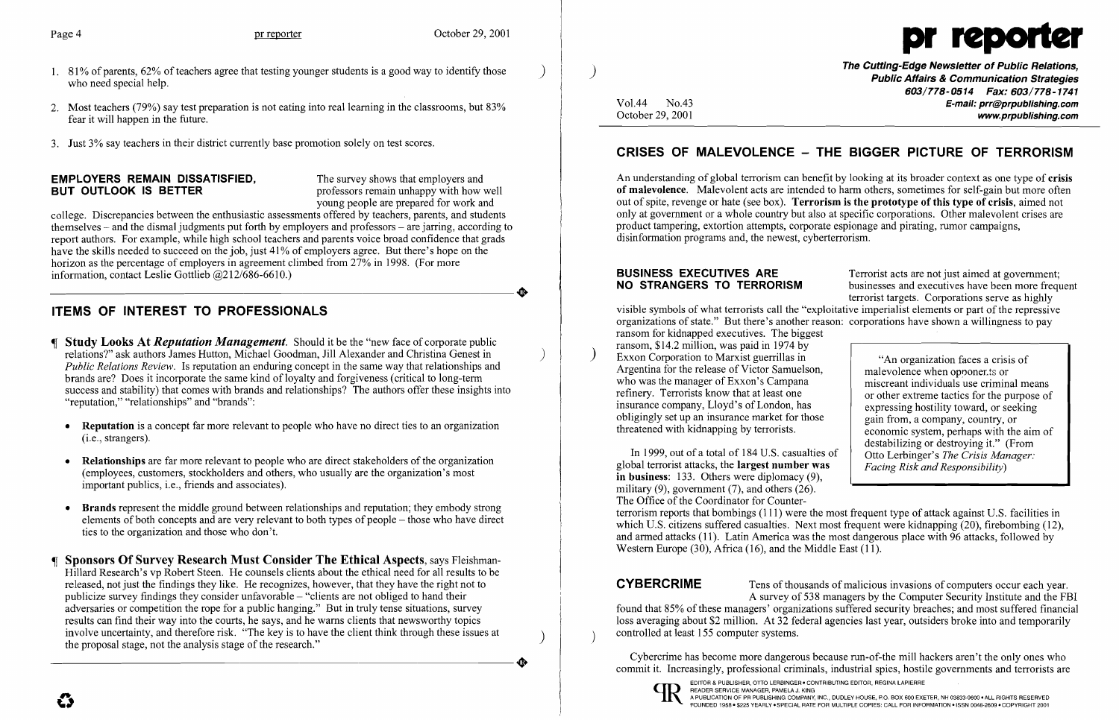- 1.  $81\%$  of parents,  $62\%$  of teachers agree that testing younger students is a good way to identify those who need special help.
- 2. Most teachers (79%) say test preparation is not eating into real learning in the classrooms, but 83% fear it will happen in the future.
- 3. Just 3% say teachers in their district currently base promotion solely on test scores.

# **EMPLOYERS REMAIN DISSATISFIED,** The survey shows that employers and **BUT OUTLOOK IS BETTER THE**

professors remain unhappy with how well young people are prepared for work and

- Study Looks At *Reputation Management.* Should it be the "new face of corporate public . relations?" ask authors James Hutton, Michael Goodman, Jill Alexander and Christina Genest in ) *Public Relations Review.* Is reputation an enduring concept in the same way that relationships and brands are? Does it incorporate the same kind of loyalty and forgiveness (critical to long-term success and stability) that comes with brands and relationships? The authors offer these insights into "reputation," "relationships" and "brands":
	- Reputation is a concept far more relevant to people who have no direct ties to an organization (i.e., strangers).
	- Relationships are far more relevant to people who are direct stakeholders of the organization (employees, customers, stockholders and others, who usually are the organization's most important publics, i.e., friends and associates).
	- Brands represent the middle ground between relationships and reputation; they embody strong elements of both concepts and are very relevant to both types of people – those who have direct ties to the organization and those who don't.
- Sponsors Of Survey Research Must Consider The Ethical Aspects, says Fleishman-Hillard Research's vp Robert Steen. He counsels clients about the ethical need for all results to be released, not just the findings they like. He recognizes, however, that they have the right not to publicize survey findings they consider unfavorable  $-$  "clients are not obliged to hand their adversaries or competition the rope for a public hanging." But in truly tense situations, survey results can find their way into the courts, he says, and he warns clients that newsworthy topics involve uncertainty, and therefore risk. "The key is to have the client think through these issues at the proposal stage, not the analysis stage of the research."

college. Discrepancies between the enthusiastic assessments offered by teachers, parents, and students themselves - and the dismal judgments put forth by employers and professors - are jarring, according to report authors. For example, while high school teachers and parents voice broad confidence that grads have the skills needed to succeed on the job, just 41% of employers agree. But there's hope on the horizon as the percentage of employers in agreement climbed from 27% in 1998. (For more information, contact Leslie Gottlieb  $@212/686-6610$ .) information, contact Leslie Gottlieb @212/686-6610.)

# ITEMS OF INTEREST TO PROFESSIONALS

The Cutting-Edge Newsletter of Public Relations, ) Public Affairs & Communication Strategies 603/778-0514 Fax: 603/778-1741 Vol.44 No.43 **No.43** E-mail: prr@prpublishing.com<br>October 29, 2001 www.prpublishing.com

An understanding of global terrorism can benefit by looking at its broader context as one type of crisis of malevolence. Malevolent acts are intended to harm others, sometimes for self-gain but more often out of spite, revenge or hate (see box). Terrorism is the prototype of this type of crisis, aimed not only at government or a whole country but also at specific corporations. Other malevolent crises are product tampering, extortion attempts, corporate espionage and pirating, rumor campaigns, disinformation programs and, the newest, cyberterrorism.

**BUSINESS EXECUTIVES ARE** Terrorist acts are not just aimed at government;<br>**NO STRANGERS TO TERRORISM** businesses and executives have been more frequ businesses and executives have been more frequent terrorist targets. Corporations serve as highly visible symbols of what terrorists call the "exploitative imperialist elements or part of the repressive organizations of state." But there's another reason: corporations have shown a willingness to pay

ransom for kidnapped executives. The biggest ransom, \$14.2 million, was paid in 1974 by Exxon Corporation to Marxist guerrillas in Argentina for the release of Victor Samuelson, who was the manager of Exxon's Campana refinery. Terrorists know that at least one insurance company, Lloyd's of London, has obligingly set up an insurance market for those threatened with kidnapping by terrorists.

In 1999, out of a total of 184 U.S. casualties of global terrorist attacks, the largest number was in business: 133. Others were diplomacy (9), military  $(9)$ , government  $(7)$ , and others  $(26)$ . The Office of the Coordinator for Counter Otto Lerbinger's *The Crisis Manager: Facing Risk and Responsibility)*  terrorism reports that bombings (l11) were the most frequent type of attack against U.S. facilities in which U.S. citizens suffered casualties. Next most frequent were kidnapping (20), firebombing (12), and armed attacks (11). Latin America was the most dangerous place with 96 attacks, followed by Western Europe (30), Africa (16), and the Middle East (11).

**CYBERCRIME** Tens of thousands of malicious invasions of computers occur each year. A survey of 538 managers by the Computer Security Institute and the FBI found that 85% of these managers' organizations suffered security breaches; and most suffered financial loss averaging about \$2 million. At 32 federal agencies last year, outsiders broke into and temporarily controlled at least 155 computer systems.



## CRISES OF MALEVOLENCE - THE BIGGER PICTURE OF TERRORISM

"An organization faces a crisis of malevolence when opponer.ts or miscreant individuals use criminal means or other extreme tactics for the purpose of expressing hostility toward, or seeking gain from, a company, country, or economic system, perhaps with the aim of destabilizing or destroying it." (From

Cybercrime has become more dangerous because run-of-the mill hackers aren't the only ones who commit it. Increasingly, professional criminals, industrial spies, hostile governments and terrorists are